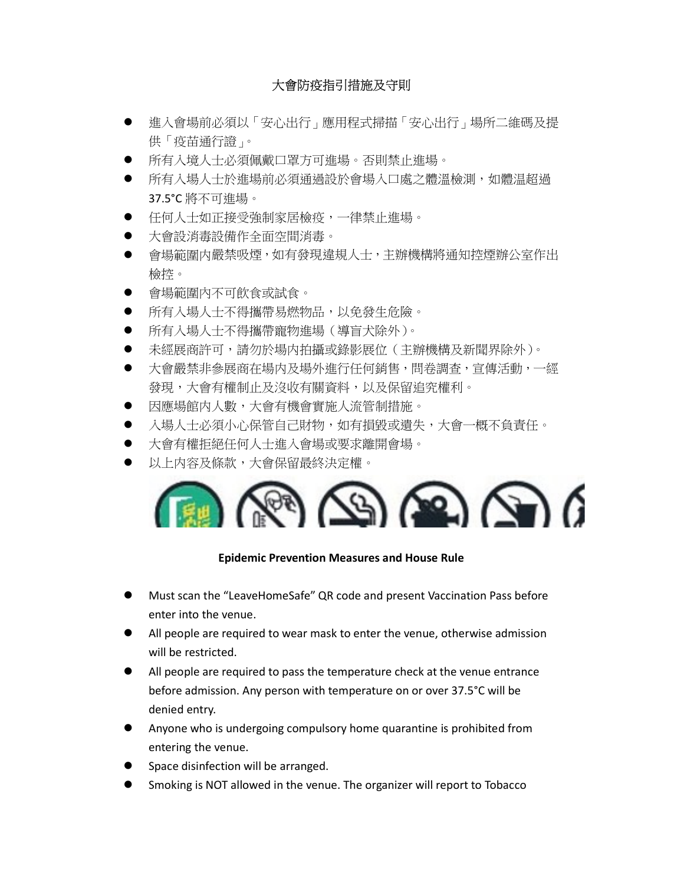## 大會防疫指引措施及守則

- 進入會場前必須以「安心出行」應用程式掃描「安心出行」場所二維碼及提 供「疫苗通行證」。
- 所有入境人士必須佩戴口罩方可進場。否則禁止進場。
- 所有入場人士於進場前必須通過設於會場入口處之體溫檢測,如體温超過 37.5°C 將不可進場。
- 任何人士如正接受強制家居檢疫,一律禁止進場。
- 大會設消毒設備作全面空間消毒。
- 會場範圍内嚴禁吸煙,如有發現違規人士,主辦機構將通知控煙辦公室作出 檢控。
- 會場範圍內不可飲食或試食。
- 所有入場人士不得攜帶易燃物品,以免發生危險。
- 所有入場人士不得攜帶寵物進場(導盲犬除外)。
- 未經展商許可,請勿於場内拍攝或錄影展位(主辦機構及新聞界除外)。
- 大會嚴禁非參展商在場内及場外進行任何銷售,問卷調查,宣傳活動,一經 發現,大會有權制止及沒收有關資料,以及保留追究權利。
- 因應場館内人數,大會有機會實施人流管制措施。
- 入場人士必須小心保管自己財物,如有損毀或潰失,大會一概不負責任。
- 大會有權拒絕任何人士進入會場或要求離開會場。
- 以上内容及條款,大會保留最終決定權。



## Epidemic Prevention Measures and House Rule

- Must scan the "LeaveHomeSafe" QR code and present Vaccination Pass before enter into the venue.
- All people are required to wear mask to enter the venue, otherwise admission will be restricted.
- All people are required to pass the temperature check at the venue entrance before admission. Any person with temperature on or over 37.5°C will be denied entry.
- Anyone who is undergoing compulsory home quarantine is prohibited from entering the venue.
- Space disinfection will be arranged.
- Smoking is NOT allowed in the venue. The organizer will report to Tobacco